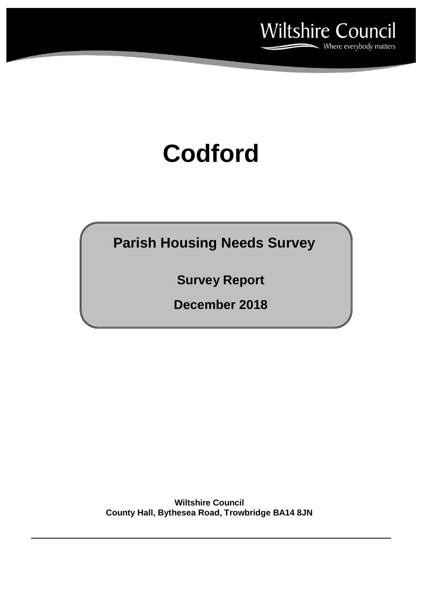

# **Codford**

**Parish Housing Needs Survey**

**Survey Report**

**December 2018**

**Wiltshire Council County Hall, Bythesea Road, Trowbridge BA14 8JN**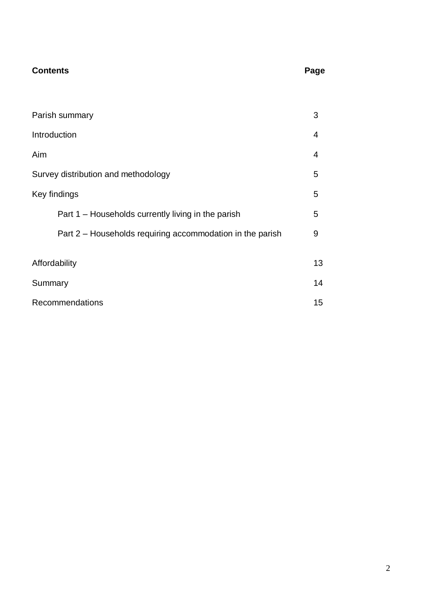## **Contents** Page

| Parish summary                                            | 3  |  |  |  |
|-----------------------------------------------------------|----|--|--|--|
| Introduction                                              | 4  |  |  |  |
| Aim                                                       | 4  |  |  |  |
| Survey distribution and methodology                       |    |  |  |  |
| Key findings                                              |    |  |  |  |
| Part 1 – Households currently living in the parish        | 5  |  |  |  |
| Part 2 – Households requiring accommodation in the parish | 9  |  |  |  |
|                                                           | 13 |  |  |  |
| Affordability                                             |    |  |  |  |
| Summary                                                   |    |  |  |  |
| Recommendations                                           |    |  |  |  |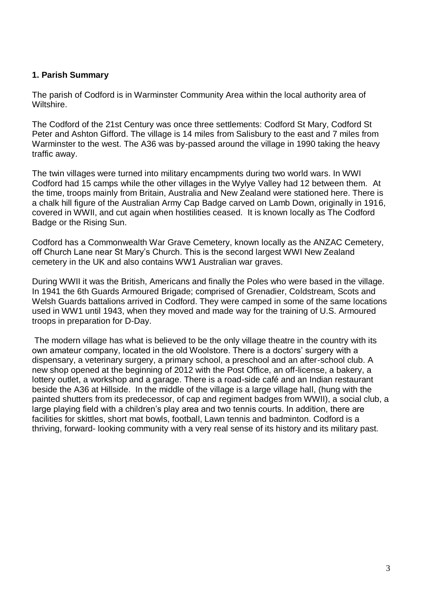#### **1. Parish Summary**

The parish of Codford is in Warminster Community Area within the local authority area of Wiltshire.

The Codford of the 21st Century was once three settlements: Codford St Mary, Codford St Peter and Ashton Gifford. The village is 14 miles from Salisbury to the east and 7 miles from Warminster to the west. The A36 was by-passed around the village in 1990 taking the heavy traffic away.

The twin villages were turned into military encampments during two world wars. In WWI Codford had 15 camps while the other villages in the Wylye Valley had 12 between them. At the time, troops mainly from Britain, Australia and New Zealand were stationed here. There is a chalk hill figure of the Australian Army Cap Badge carved on Lamb Down, originally in 1916, covered in WWII, and cut again when hostilities ceased. It is known locally as The Codford Badge or the Rising Sun.

Codford has a Commonwealth War Grave Cemetery, known locally as the ANZAC Cemetery, off Church Lane near St Mary's Church. This is the second largest WWI New Zealand cemetery in the UK and also contains WW1 Australian war graves.

During WWII it was the British, Americans and finally the Poles who were based in the village. In 1941 the 6th Guards Armoured Brigade; comprised of Grenadier, Coldstream, Scots and Welsh Guards battalions arrived in Codford. They were camped in some of the same locations used in WW1 until 1943, when they moved and made way for the training of U.S. Armoured troops in preparation for D-Day.

The modern village has what is believed to be the only village theatre in the country with its own amateur company, located in the old Woolstore. There is a doctors' surgery with a dispensary, a veterinary surgery, a primary school, a preschool and an after-school club. A new shop opened at the beginning of 2012 with the Post Office, an off-license, a bakery, a lottery outlet, a workshop and a garage. There is a road-side café and an Indian restaurant beside the A36 at Hillside. In the middle of the village is a large village hall, (hung with the painted shutters from its predecessor, of cap and regiment badges from WWII), a social club, a large playing field with a children's play area and two tennis courts. In addition, there are facilities for skittles, short mat bowls, football, Lawn tennis and badminton. Codford is a thriving, forward- looking community with a very real sense of its history and its military past.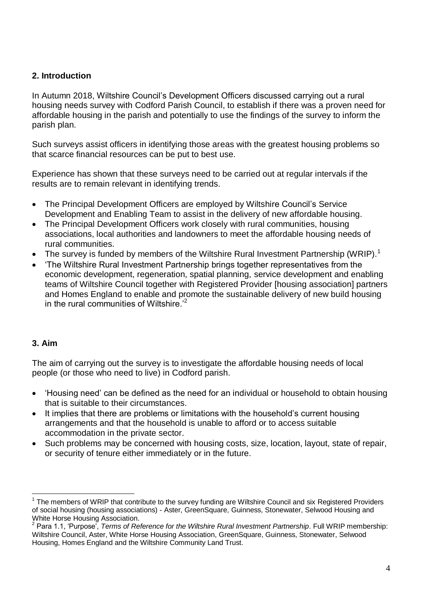#### **2. Introduction**

In Autumn 2018, Wiltshire Council's Development Officers discussed carrying out a rural housing needs survey with Codford Parish Council, to establish if there was a proven need for affordable housing in the parish and potentially to use the findings of the survey to inform the parish plan.

Such surveys assist officers in identifying those areas with the greatest housing problems so that scarce financial resources can be put to best use.

Experience has shown that these surveys need to be carried out at regular intervals if the results are to remain relevant in identifying trends.

- The Principal Development Officers are employed by Wiltshire Council's Service Development and Enabling Team to assist in the delivery of new affordable housing.
- The Principal Development Officers work closely with rural communities, housing associations, local authorities and landowners to meet the affordable housing needs of rural communities.
- The survey is funded by members of the Wiltshire Rural Investment Partnership (WRIP).<sup>1</sup>
- 'The Wiltshire Rural Investment Partnership brings together representatives from the economic development, regeneration, spatial planning, service development and enabling teams of Wiltshire Council together with Registered Provider [housing association] partners and Homes England to enable and promote the sustainable delivery of new build housing in the rural communities of Wiltshire.<sup> $2$ </sup>

#### **3. Aim**

 $\overline{a}$ 

The aim of carrying out the survey is to investigate the affordable housing needs of local people (or those who need to live) in Codford parish.

- 'Housing need' can be defined as the need for an individual or household to obtain housing that is suitable to their circumstances.
- It implies that there are problems or limitations with the household's current housing arrangements and that the household is unable to afford or to access suitable accommodation in the private sector.
- Such problems may be concerned with housing costs, size, location, layout, state of repair, or security of tenure either immediately or in the future.

<sup>1</sup> The members of WRIP that contribute to the survey funding are Wiltshire Council and six Registered Providers of social housing (housing associations) - Aster, GreenSquare, Guinness, Stonewater, Selwood Housing and White Horse Housing Association.

<sup>&</sup>lt;sup>2</sup> Para 1.1, 'Purpose', *Terms of Reference for the Wiltshire Rural Investment Partnership*. Full WRIP membership: Wiltshire Council, Aster, White Horse Housing Association, GreenSquare, Guinness, Stonewater, Selwood Housing, Homes England and the Wiltshire Community Land Trust.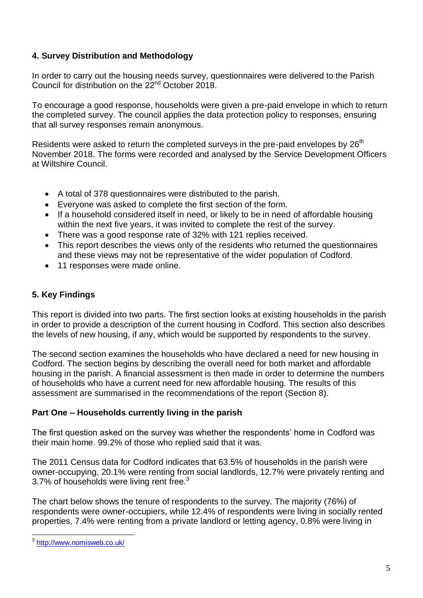#### **4. Survey Distribution and Methodology**

In order to carry out the housing needs survey, questionnaires were delivered to the Parish Council for distribution on the 22<sup>nd</sup> October 2018.

To encourage a good response, households were given a pre-paid envelope in which to return the completed survey. The council applies the data protection policy to responses, ensuring that all survey responses remain anonymous.

Residents were asked to return the completed surveys in the pre-paid envelopes by  $26<sup>th</sup>$ November 2018. The forms were recorded and analysed by the Service Development Officers at Wiltshire Council.

- A total of 378 questionnaires were distributed to the parish.
- Everyone was asked to complete the first section of the form.
- If a household considered itself in need, or likely to be in need of affordable housing within the next five years, it was invited to complete the rest of the survey.
- There was a good response rate of 32% with 121 replies received.
- This report describes the views only of the residents who returned the questionnaires and these views may not be representative of the wider population of Codford.
- 11 responses were made online.

### **5. Key Findings**

This report is divided into two parts. The first section looks at existing households in the parish in order to provide a description of the current housing in Codford. This section also describes the levels of new housing, if any, which would be supported by respondents to the survey.

The second section examines the households who have declared a need for new housing in Codford. The section begins by describing the overall need for both market and affordable housing in the parish. A financial assessment is then made in order to determine the numbers of households who have a current need for new affordable housing. The results of this assessment are summarised in the recommendations of the report (Section 8).

### **Part One – Households currently living in the parish**

The first question asked on the survey was whether the respondents' home in Codford was their main home. 99.2% of those who replied said that it was.

The 2011 Census data for Codford indicates that 63.5% of households in the parish were owner-occupying, 20.1% were renting from social landlords, 12.7% were privately renting and 3.7% of households were living rent free. $3$ 

The chart below shows the tenure of respondents to the survey. The majority (76%) of respondents were owner-occupiers, while 12.4% of respondents were living in socially rented properties, 7.4% were renting from a private landlord or letting agency, 0.8% were living in

<sup>3&</sup>lt;br><sup>3</sup> http://www.nomisweb.co.uk/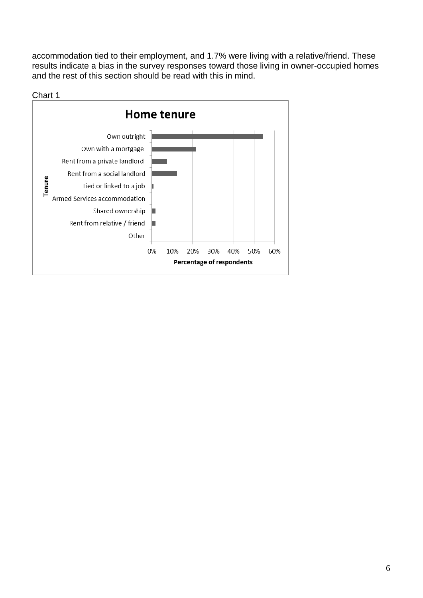accommodation tied to their employment, and 1.7% were living with a relative/friend. These results indicate a bias in the survey responses toward those living in owner-occupied homes and the rest of this section should be read with this in mind.

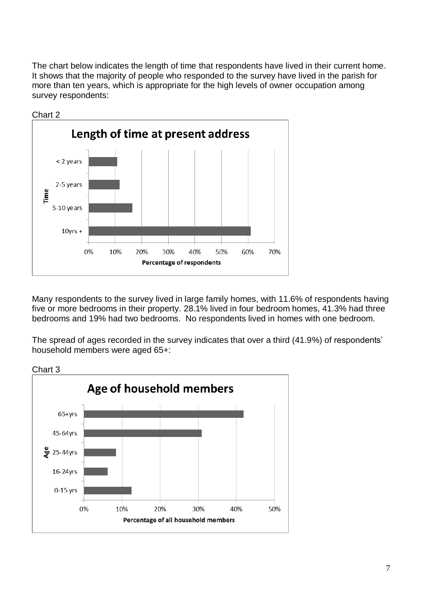The chart below indicates the length of time that respondents have lived in their current home. It shows that the majority of people who responded to the survey have lived in the parish for more than ten years, which is appropriate for the high levels of owner occupation among survey respondents:



Many respondents to the survey lived in large family homes, with 11.6% of respondents having five or more bedrooms in their property. 28.1% lived in four bedroom homes, 41.3% had three bedrooms and 19% had two bedrooms. No respondents lived in homes with one bedroom.

The spread of ages recorded in the survey indicates that over a third (41.9%) of respondents' household members were aged 65+:



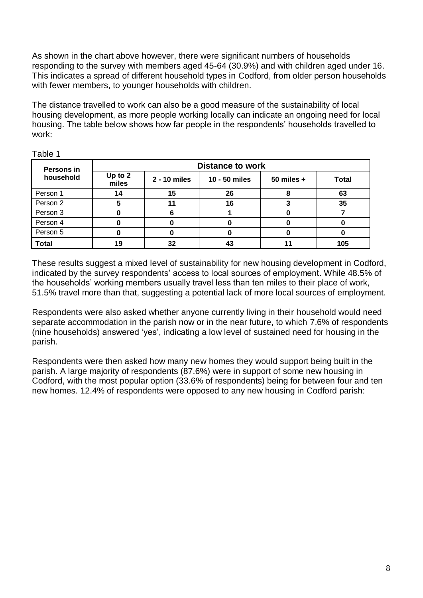As shown in the chart above however, there were significant numbers of households responding to the survey with members aged 45-64 (30.9%) and with children aged under 16. This indicates a spread of different household types in Codford, from older person households with fewer members, to younger households with children.

The distance travelled to work can also be a good measure of the sustainability of local housing development, as more people working locally can indicate an ongoing need for local housing. The table below shows how far people in the respondents' households travelled to work:

| Persons in   | <b>Distance to work</b> |              |               |              |              |
|--------------|-------------------------|--------------|---------------|--------------|--------------|
| household    | Up to 2<br>miles        | 2 - 10 miles | 10 - 50 miles | 50 miles $+$ | <b>Total</b> |
| Person 1     | 14                      | 15           | 26            |              | 63           |
| Person 2     |                         |              | 16            |              | 35           |
| Person 3     |                         |              |               |              |              |
| Person 4     |                         |              |               |              |              |
| Person 5     |                         |              |               |              |              |
| <b>Total</b> | 19                      | 32           | 43            |              | 105          |

Table 1

These results suggest a mixed level of sustainability for new housing development in Codford, indicated by the survey respondents' access to local sources of employment. While 48.5% of the households' working members usually travel less than ten miles to their place of work, 51.5% travel more than that, suggesting a potential lack of more local sources of employment.

Respondents were also asked whether anyone currently living in their household would need separate accommodation in the parish now or in the near future, to which 7.6% of respondents (nine households) answered 'yes', indicating a low level of sustained need for housing in the parish.

Respondents were then asked how many new homes they would support being built in the parish. A large majority of respondents (87.6%) were in support of some new housing in Codford, with the most popular option (33.6% of respondents) being for between four and ten new homes. 12.4% of respondents were opposed to any new housing in Codford parish: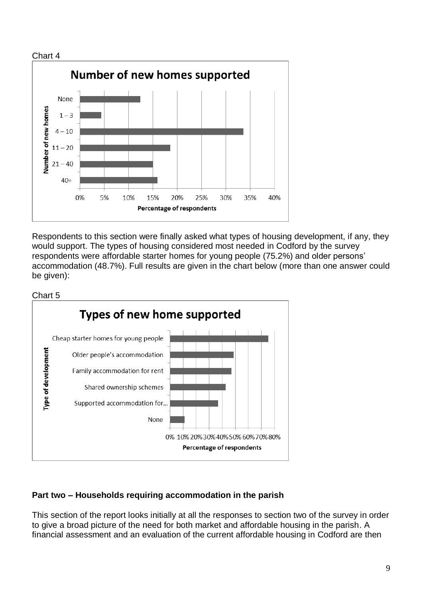

Respondents to this section were finally asked what types of housing development, if any, they would support. The types of housing considered most needed in Codford by the survey respondents were affordable starter homes for young people (75.2%) and older persons' accommodation (48.7%). Full results are given in the chart below (more than one answer could be given):



### **Part two – Households requiring accommodation in the parish**

This section of the report looks initially at all the responses to section two of the survey in order to give a broad picture of the need for both market and affordable housing in the parish. A financial assessment and an evaluation of the current affordable housing in Codford are then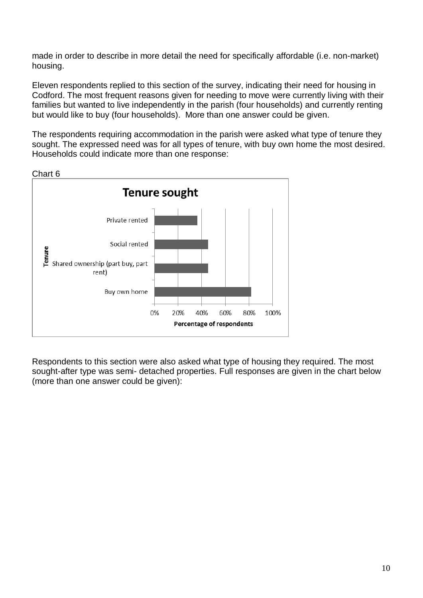made in order to describe in more detail the need for specifically affordable (i.e. non-market) housing.

Eleven respondents replied to this section of the survey, indicating their need for housing in Codford. The most frequent reasons given for needing to move were currently living with their families but wanted to live independently in the parish (four households) and currently renting but would like to buy (four households). More than one answer could be given.

The respondents requiring accommodation in the parish were asked what type of tenure they sought. The expressed need was for all types of tenure, with buy own home the most desired. Households could indicate more than one response:



Chart 6

Respondents to this section were also asked what type of housing they required. The most sought-after type was semi- detached properties. Full responses are given in the chart below (more than one answer could be given):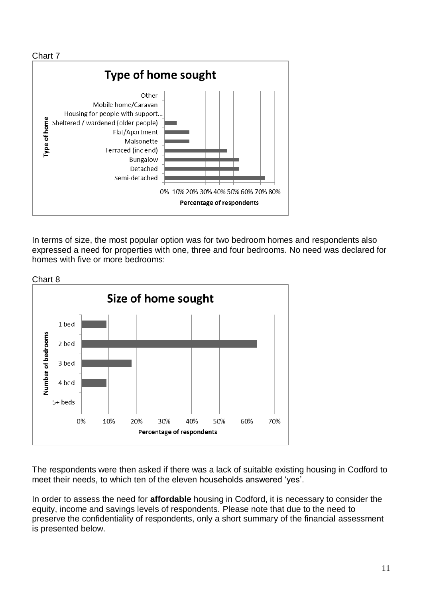

In terms of size, the most popular option was for two bedroom homes and respondents also expressed a need for properties with one, three and four bedrooms. No need was declared for homes with five or more bedrooms:



The respondents were then asked if there was a lack of suitable existing housing in Codford to meet their needs, to which ten of the eleven households answered 'yes'.

In order to assess the need for **affordable** housing in Codford, it is necessary to consider the equity, income and savings levels of respondents. Please note that due to the need to preserve the confidentiality of respondents, only a short summary of the financial assessment is presented below.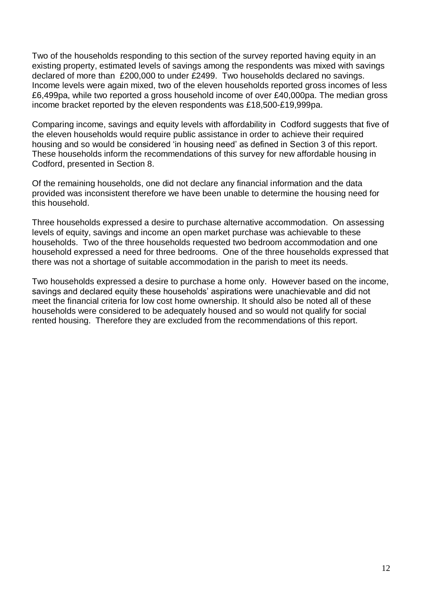Two of the households responding to this section of the survey reported having equity in an existing property, estimated levels of savings among the respondents was mixed with savings declared of more than £200,000 to under £2499. Two households declared no savings. Income levels were again mixed, two of the eleven households reported gross incomes of less £6,499pa, while two reported a gross household income of over £40,000pa. The median gross income bracket reported by the eleven respondents was £18,500-£19,999pa.

Comparing income, savings and equity levels with affordability in Codford suggests that five of the eleven households would require public assistance in order to achieve their required housing and so would be considered 'in housing need' as defined in Section 3 of this report. These households inform the recommendations of this survey for new affordable housing in Codford, presented in Section 8.

Of the remaining households, one did not declare any financial information and the data provided was inconsistent therefore we have been unable to determine the housing need for this household.

Three households expressed a desire to purchase alternative accommodation. On assessing levels of equity, savings and income an open market purchase was achievable to these households. Two of the three households requested two bedroom accommodation and one household expressed a need for three bedrooms. One of the three households expressed that there was not a shortage of suitable accommodation in the parish to meet its needs.

Two households expressed a desire to purchase a home only. However based on the income, savings and declared equity these households' aspirations were unachievable and did not meet the financial criteria for low cost home ownership. It should also be noted all of these households were considered to be adequately housed and so would not qualify for social rented housing. Therefore they are excluded from the recommendations of this report.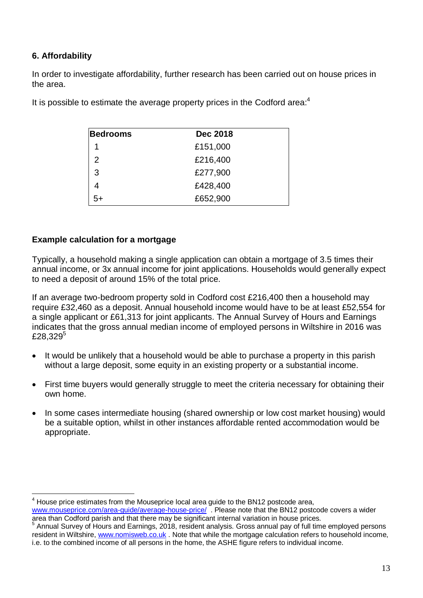#### **6. Affordability**

 $\overline{a}$ 

In order to investigate affordability, further research has been carried out on house prices in the area.

| <b>Bedrooms</b> | Dec 2018 |  |  |
|-----------------|----------|--|--|
| 1               | £151,000 |  |  |
| $\mathcal{P}$   | £216,400 |  |  |
| 3               | £277,900 |  |  |
|                 | £428,400 |  |  |
| 5+              | £652,900 |  |  |

It is possible to estimate the average property prices in the Codford area: $4$ 

#### **Example calculation for a mortgage**

Typically, a household making a single application can obtain a mortgage of 3.5 times their annual income, or 3x annual income for joint applications. Households would generally expect to need a deposit of around 15% of the total price.

If an average two-bedroom property sold in Codford cost £216,400 then a household may require £32,460 as a deposit. Annual household income would have to be at least £52,554 for a single applicant or £61,313 for joint applicants. The Annual Survey of Hours and Earnings indicates that the gross annual median income of employed persons in Wiltshire in 2016 was £28,329 $5$ 

- It would be unlikely that a household would be able to purchase a property in this parish without a large deposit, some equity in an existing property or a substantial income.
- First time buyers would generally struggle to meet the criteria necessary for obtaining their own home.
- In some cases intermediate housing (shared ownership or low cost market housing) would be a suitable option, whilst in other instances affordable rented accommodation would be appropriate.

<sup>4</sup> House price estimates from the Mouseprice local area guide to the BN12 postcode area, [www.mouseprice.com/area-guide/average-house-price/](http://www.mouseprice.com/area-guide/average-house-price/) . Please note that the BN12 postcode covers a wider

area than Codford parish and that there may be significant internal variation in house prices. 5 Annual Survey of Hours and Earnings, 2018, resident analysis. Gross annual pay of full time employed persons resident in Wiltshire, [www.nomisweb.co.uk](http://www.nomisweb.co.uk/) . Note that while the mortgage calculation refers to household income, i.e. to the combined income of all persons in the home, the ASHE figure refers to individual income.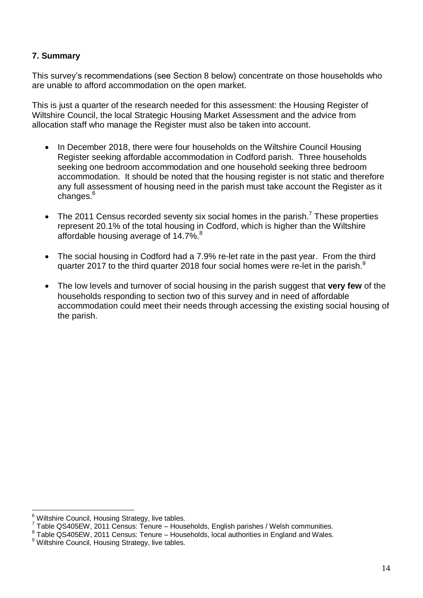#### **7. Summary**

This survey's recommendations (see Section 8 below) concentrate on those households who are unable to afford accommodation on the open market.

This is just a quarter of the research needed for this assessment: the Housing Register of Wiltshire Council, the local Strategic Housing Market Assessment and the advice from allocation staff who manage the Register must also be taken into account.

- In December 2018, there were four households on the Wiltshire Council Housing Register seeking affordable accommodation in Codford parish. Three households seeking one bedroom accommodation and one household seeking three bedroom accommodation. It should be noted that the housing register is not static and therefore any full assessment of housing need in the parish must take account the Register as it changes.<sup>6</sup>
- The 2011 Census recorded seventy six social homes in the parish.<sup>7</sup> These properties represent 20.1% of the total housing in Codford, which is higher than the Wiltshire affordable housing average of  $14.7\%$ .<sup>8</sup>
- The social housing in Codford had a 7.9% re-let rate in the past year. From the third quarter 2017 to the third quarter 2018 four social homes were re-let in the parish.<sup>9</sup>
- The low levels and turnover of social housing in the parish suggest that **very few** of the households responding to section two of this survey and in need of affordable accommodation could meet their needs through accessing the existing social housing of the parish.

 $\overline{a}$  $^6$  Wiltshire Council, Housing Strategy, live tables.

 $7$  Table QS405EW, 2011 Census: Tenure – Households, English parishes / Welsh communities.

<sup>&</sup>lt;sup>8</sup> Table QS405EW, 2011 Census: Tenure – Households, local authorities in England and Wales.

<sup>&</sup>lt;sup>9</sup> Wiltshire Council, Housing Strategy, live tables.